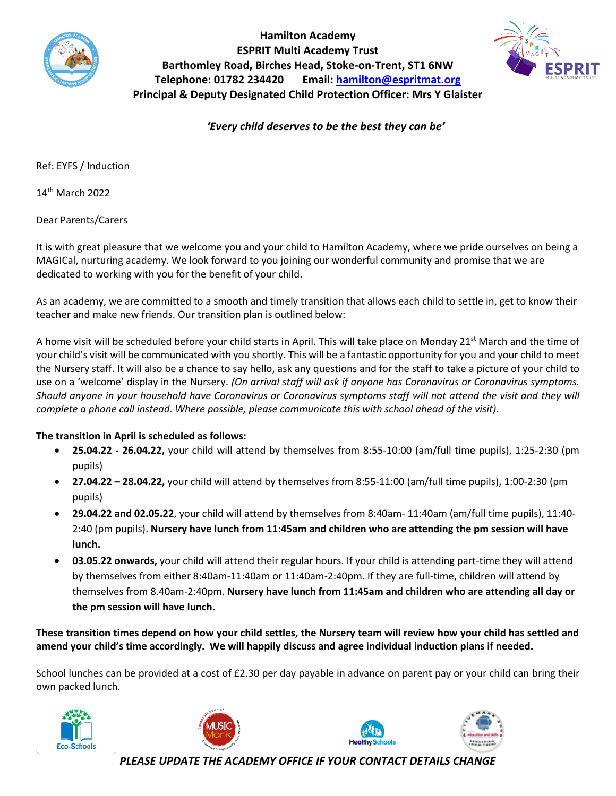

**Hamilton Academy ESPRIT Multi Academy Trust Barthomley Road, Birches Head, Stoke-on-Trent, ST1 6NW Telephone: 01782 234420 Email: [hamilton@espritmat.org](mailto:hamilton@espritmat.org) Principal & Deputy Designated Child Protection Officer: Mrs Y Glaister**



*'Every child deserves to be the best they can be'*

Ref: EYFS / Induction

14th March 2022

Dear Parents/Carers

It is with great pleasure that we welcome you and your child to Hamilton Academy, where we pride ourselves on being a MAGICal, nurturing academy. We look forward to you joining our wonderful community and promise that we are dedicated to working with you for the benefit of your child.

As an academy, we are committed to a smooth and timely transition that allows each child to settle in, get to know their teacher and make new friends. Our transition plan is outlined below:

A home visit will be scheduled before your child starts in April. This will take place on Monday 21<sup>st</sup> March and the time of your child's visit will be communicated with you shortly. This will be a fantastic opportunity for you and your child to meet the Nursery staff. It will also be a chance to say hello, ask any questions and for the staff to take a picture of your child to use on a 'welcome' display in the Nursery. *(On arrival staff will ask if anyone has Coronavirus or Coronavirus symptoms. Should anyone in your household have Coronavirus or Coronavirus symptoms staff will not attend the visit and they will complete a phone call instead. Where possible, please communicate this with school ahead of the visit).*

## **The transition in April is scheduled as follows:**

- **25.04.22 - 26.04.22,** your child will attend by themselves from 8:55-10:00 (am/full time pupils), 1:25-2:30 (pm pupils)
- **27.04.22 – 28.04.22,** your child will attend by themselves from 8:55-11:00 (am/full time pupils), 1:00-2:30 (pm pupils)
- **29.04.22 and 02.05.22**, your child will attend by themselves from 8:40am- 11:40am (am/full time pupils), 11:40- 2:40 (pm pupils). **Nursery have lunch from 11:45am and children who are attending the pm session will have lunch.**
- **03.05.22 onwards,** your child will attend their regular hours. If your child is attending part-time they will attend by themselves from either 8:40am-11:40am or 11:40am-2:40pm. If they are full-time, children will attend by themselves from 8.40am-2:40pm. **Nursery have lunch from 11:45am and children who are attending all day or the pm session will have lunch.**

**These transition times depend on how your child settles, the Nursery team will review how your child has settled and amend your child's time accordingly. We will happily discuss and agree individual induction plans if needed.** 

School lunches can be provided at a cost of £2.30 per day payable in advance on parent pay or your child can bring their own packed lunch.









*PLEASE UPDATE THE ACADEMY OFFICE IF YOUR CONTACT DETAILS CHANGE*